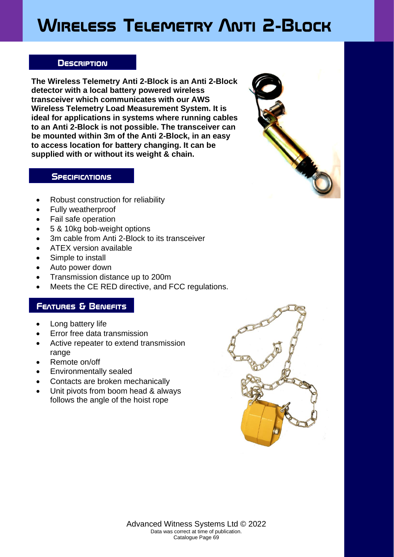# **Wireless Telemetry Anti 2-Block**

#### **Description**

**The Wireless Telemetry Anti 2-Block is an Anti 2-Block detector with a local battery powered wireless transceiver which communicates with our AWS Wireless Telemetry Load Measurement System. It is ideal for applications in systems where running cables to an Anti 2-Block is not possible. The transceiver can be mounted within 3m of the Anti 2-Block, in an easy to access location for battery changing. It can be supplied with or without its weight & chain.**



### **SPECIFICATIONS**

- Robust construction for reliability
- Fully weatherproof
- Fail safe operation
- 5 & 10kg bob-weight options
- 3m cable from Anti 2-Block to its transceiver
- ATEX version available
- Simple to install
- Auto power down
- Transmission distance up to 200m
- Meets the CE RED directive, and FCC regulations.

## **Features & Benefits**

- Long battery life
- Error free data transmission
- Active repeater to extend transmission range
- Remote on/off
- Environmentally sealed
- Contacts are broken mechanically
- Unit pivots from boom head & always follows the angle of the hoist rope